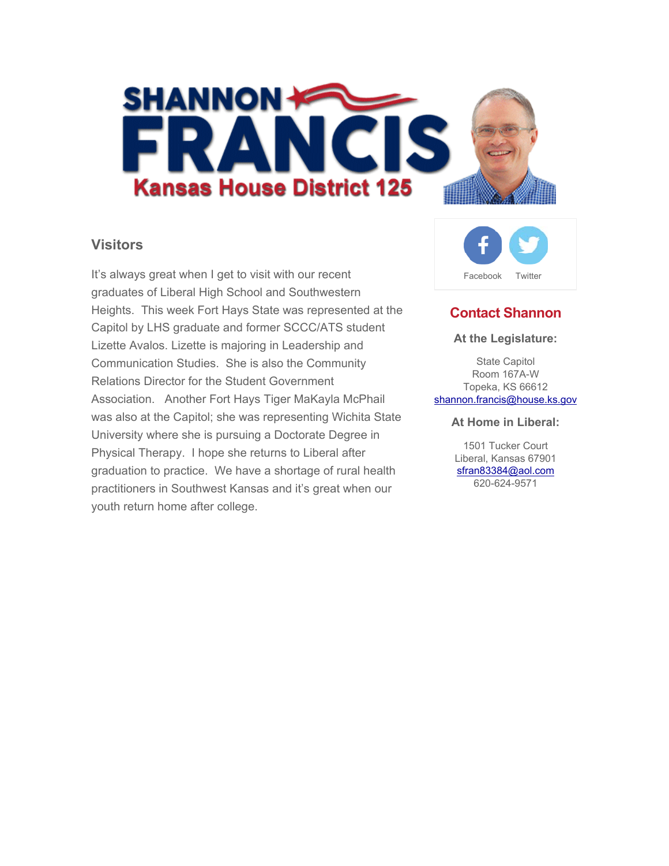

### **Visitors**

It's always great when I get to visit with our recent graduates of Liberal High School and Southwestern Heights. This week Fort Hays State was represented at the Capitol by LHS graduate and former SCCC/ATS student Lizette Avalos. Lizette is majoring in Leadership and Communication Studies. She is also the Community Relations Director for the Student Government Association. Another Fort Hays Tiger MaKayla McPhail was also at the Capitol; she was representing Wichita State University where she is pursuing a Doctorate Degree in Physical Therapy. I hope she returns to Liberal after graduation to practice. We have a shortage of rural health practitioners in Southwest Kansas and it's great when our youth return home after college.



## **Contact Shannon**

#### **At the Legislature:**

State Capitol Room 167A-W Topeka, KS 66612 shannon.francis@house.ks.gov

#### **At Home in Liberal:**

1501 Tucker Court Liberal, Kansas 67901 sfran83384@aol.com 620-624-9571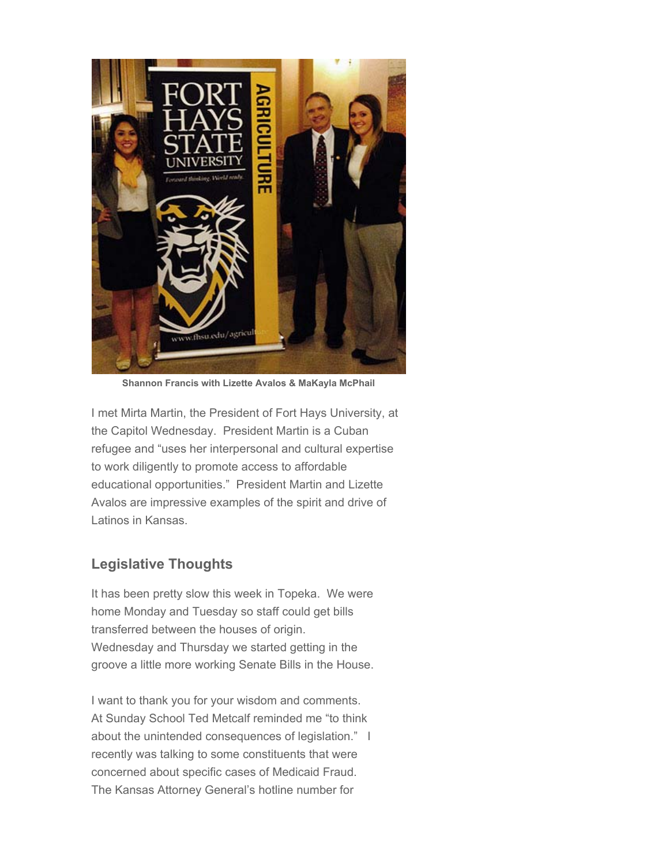

**Shannon Francis with Lizette Avalos & MaKayla McPhail**

I met Mirta Martin, the President of Fort Hays University, at the Capitol Wednesday. President Martin is a Cuban refugee and "uses her interpersonal and cultural expertise to work diligently to promote access to affordable educational opportunities." President Martin and Lizette Avalos are impressive examples of the spirit and drive of Latinos in Kansas.

### **Legislative Thoughts**

It has been pretty slow this week in Topeka. We were home Monday and Tuesday so staff could get bills transferred between the houses of origin. Wednesday and Thursday we started getting in the groove a little more working Senate Bills in the House.

I want to thank you for your wisdom and comments. At Sunday School Ted Metcalf reminded me "to think about the unintended consequences of legislation." I recently was talking to some constituents that were concerned about specific cases of Medicaid Fraud. The Kansas Attorney General's hotline number for